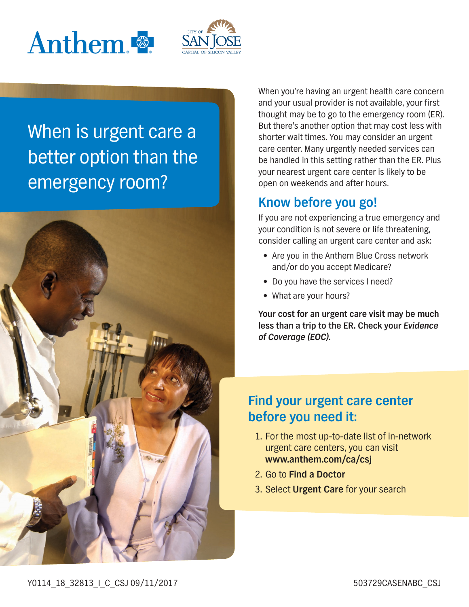



# When is urgent care a better option than the emergency room?



When you're having an urgent health care concern and your usual provider is not available, your first thought may be to go to the emergency room (ER). But there's another option that may cost less with shorter wait times. You may consider an urgent care center. Many urgently needed services can be handled in this setting rather than the ER. Plus your nearest urgent care center is likely to be open on weekends and after hours.

#### **Know before you go!**

If you are not experiencing a true emergency and your condition is not severe or life threatening, consider calling an urgent care center and ask:

- Are you in the Anthem Blue Cross network and/or do you accept Medicare?
- Do you have the services I need?
- What are your hours?

**Your cost for an urgent care visit may be much less than a trip to the ER. Check your Evidence of Coverage (EOC).**

### **Find your urgent care center before you need it:**

- 1. For the most up-to-date list of in-network urgent care centers, you can visit **[www.anthem.com/ca/csj](http://www.anthem.com/ca/csj)**
- 2. Go to **Find a Doctor**
- 3. Select **Urgent Care** for your search